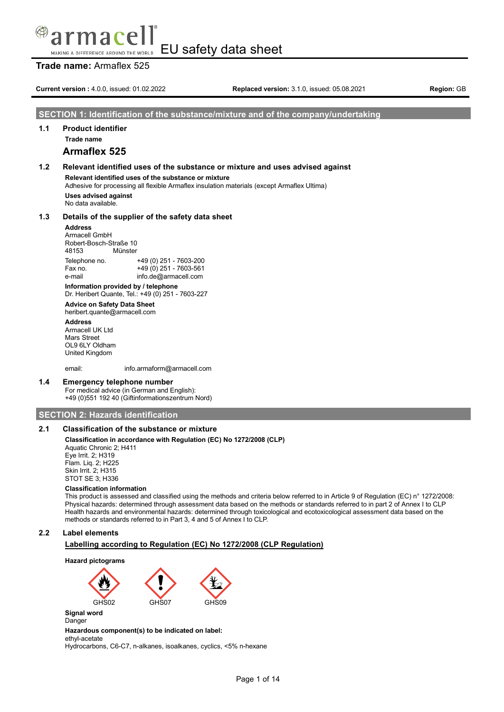#### EU safety data sheet MAKING A DIFFERENCE AROUND THE WORLD

### **Trade name:** Armaflex 525

**Current version :** 4.0.0, issued: 01.02.2022 **Replaced version:** 3.1.0, issued: 05.08.2021 **Region:** GB

#### **SECTION 1: Identification of the substance/mixture and of the company/undertaking**

### **1.1 Product identifier**

**Trade name**

### **Armaflex 525**

### **1.2 Relevant identified uses of the substance or mixture and uses advised against Relevant identified uses of the substance or mixture** Adhesive for processing all flexible Armaflex insulation materials (except Armaflex Ultima)

**Uses advised against** No data available.

#### **1.3 Details of the supplier of the safety data sheet**

#### **Address**

Armacell GmbH Robert-Bosch-Straße 10 48153 Münster Telephone no. +49 (0) 251 - 7603-200  $+49(0)$  251 - 7603-561 e-mail info.de@armacell.com

**Information provided by / telephone** Dr. Heribert Quante, Tel.: +49 (0) 251 - 7603-227

### **Advice on Safety Data Sheet**

heribert.quante@armacell.com

**Address** Armacell UK Ltd Mars Street OL9 6LY Oldham United Kingdom

email: info.armaform@armacell.com

#### **1.4 Emergency telephone number**

For medical advice (in German and English): +49 (0)551 192 40 (Giftinformationszentrum Nord)

### **SECTION 2: Hazards identification**

### **2.1 Classification of the substance or mixture**

#### **Classification in accordance with Regulation (EC) No 1272/2008 (CLP)**

Aquatic Chronic 2; H411 Eye Irrit. 2; H319 Flam. Liq. 2; H225 Skin Irrit. 2; H315 STOT SE 3; H336

#### **Classification information**

This product is assessed and classified using the methods and criteria below referred to in Article 9 of Regulation (EC) n° 1272/2008: Physical hazards: determined through assessment data based on the methods or standards referred to in part 2 of Annex I to CLP Health hazards and environmental hazards: determined through toxicological and ecotoxicological assessment data based on the methods or standards referred to in Part 3, 4 and 5 of Annex I to CLP.

### **2.2 Label elements**

#### **Labelling according to Regulation (EC) No 1272/2008 (CLP Regulation)**



Danger

#### **Hazardous component(s) to be indicated on label:**

ethyl-acetate

Hydrocarbons, C6-C7, n-alkanes, isoalkanes, cyclics, <5% n-hexane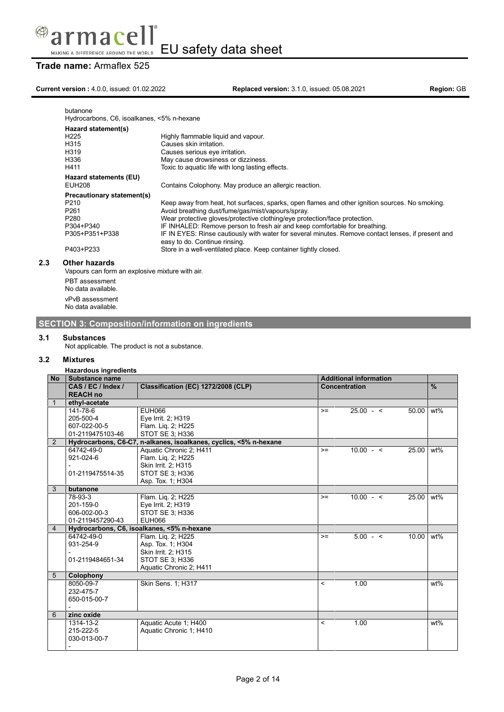

### **Trade name:** Armaflex 525

### **Current version :** 4.0.0, issued: 01.02.2022 **Replaced version:** 3.1.0, issued: 05.08.2021 **Region:** GB

| butanone<br>Hydrocarbons, C6, isoalkanes, <5% n-hexane                                                                             |                                                                                                                                                                                                                                                                                                                                                                                                                                                                                                                            |
|------------------------------------------------------------------------------------------------------------------------------------|----------------------------------------------------------------------------------------------------------------------------------------------------------------------------------------------------------------------------------------------------------------------------------------------------------------------------------------------------------------------------------------------------------------------------------------------------------------------------------------------------------------------------|
| Hazard statement(s)<br>H <sub>225</sub><br>H315<br>H319<br>H336<br>H411                                                            | Highly flammable liquid and vapour.<br>Causes skin irritation.<br>Causes serious eye irritation.<br>May cause drowsiness or dizziness.<br>Toxic to aquatic life with long lasting effects.                                                                                                                                                                                                                                                                                                                                 |
| Hazard statements (EU)<br><b>EUH208</b>                                                                                            | Contains Colophony. May produce an allergic reaction.                                                                                                                                                                                                                                                                                                                                                                                                                                                                      |
| Precautionary statement(s)<br>P <sub>210</sub><br>P <sub>261</sub><br>P <sub>280</sub><br>P304+P340<br>P305+P351+P338<br>P403+P233 | Keep away from heat, hot surfaces, sparks, open flames and other ignition sources. No smoking.<br>Avoid breathing dust/fume/gas/mist/vapours/spray.<br>Wear protective gloves/protective clothing/eye protection/face protection.<br>IF INHALED: Remove person to fresh air and keep comfortable for breathing.<br>IF IN EYES: Rinse cautiously with water for several minutes. Remove contact lenses, if present and<br>easy to do. Continue rinsing.<br>Store in a well-ventilated place. Keep container tightly closed. |
| <b>Other hazards</b><br>Vapours can form an explosive mixture with air.                                                            |                                                                                                                                                                                                                                                                                                                                                                                                                                                                                                                            |

PBT assessment No data available. vPvB assessment No data available.

### **SECTION 3: Composition/information on ingredients**

### **3.1 Substances**

Not applicable. The product is not a substance.

#### **3.2 Mixtures**

**2.3 Other hazards**

### **Hazardous ingredients**

| <b>No</b>      | Substance name           |                                                                   |                          | <b>Additional information</b> |           |               |
|----------------|--------------------------|-------------------------------------------------------------------|--------------------------|-------------------------------|-----------|---------------|
|                | CAS / EC / Index /       | Classification (EC) 1272/2008 (CLP)                               |                          | Concentration                 |           | $\frac{9}{6}$ |
|                | <b>REACH no</b>          |                                                                   |                          |                               |           |               |
|                | ethyl-acetate            |                                                                   |                          |                               |           |               |
|                | 141-78-6                 | EUH066                                                            | $>=$                     | $25.00 - 5$                   | 50.00     | wt%           |
|                | 205-500-4                | Eye Irrit. 2; H319                                                |                          |                               |           |               |
|                | 607-022-00-5             | Flam. Lig. 2; H225                                                |                          |                               |           |               |
|                | 01-2119475103-46         | STOT SE 3; H336                                                   |                          |                               |           |               |
| $\overline{2}$ |                          | Hydrocarbons, C6-C7, n-alkanes, isoalkanes, cyclics, <5% n-hexane |                          |                               |           |               |
|                | 64742-49-0               | Aquatic Chronic 2; H411                                           | $>=$                     | $10.00 - 5$                   | 25.00     | wt%           |
|                | 921-024-6                | Flam. Lig. 2; H225                                                |                          |                               |           |               |
|                |                          | Skin Irrit. 2; H315                                               |                          |                               |           |               |
|                | 01-2119475514-35         | STOT SE 3: H336                                                   |                          |                               |           |               |
|                |                          | Asp. Tox. 1: H304                                                 |                          |                               |           |               |
| 3              | butanone                 |                                                                   |                          |                               |           |               |
|                | 78-93-3                  | Flam. Lig. 2; H225                                                | $>=$                     | $10.00 - 5$                   | 25.00 wt% |               |
|                | 201-159-0                | Eye Irrit. 2; H319                                                |                          |                               |           |               |
|                | 606-002-00-3             | STOT SE 3; H336                                                   |                          |                               |           |               |
|                | 01-2119457290-43         | EUH066                                                            |                          |                               |           |               |
| $\overline{4}$ |                          | Hydrocarbons, C6, isoalkanes, <5% n-hexane                        |                          |                               |           |               |
|                | 64742-49-0               | Flam. Lig. 2; H225                                                | $>=$                     | $5.00 - 5$                    | 10.00     | wt%           |
|                | 931-254-9                | Asp. Tox. 1: H304                                                 |                          |                               |           |               |
|                |                          | Skin Irrit. 2; H315                                               |                          |                               |           |               |
|                | 01-2119484651-34         | STOT SE 3; H336                                                   |                          |                               |           |               |
|                |                          | Aquatic Chronic 2; H411                                           |                          |                               |           |               |
| 5              | Colophony                |                                                                   |                          |                               |           |               |
|                | 8050-09-7                | Skin Sens. 1; H317                                                | $\overline{\phantom{0}}$ | 1.00                          |           | wt%           |
|                | 232-475-7                |                                                                   |                          |                               |           |               |
|                | 650-015-00-7             |                                                                   |                          |                               |           |               |
|                |                          |                                                                   |                          |                               |           |               |
| 6              | zinc oxide               |                                                                   |                          |                               |           |               |
|                | 1314-13-2                | Aquatic Acute 1; H400                                             | $\prec$                  | 1.00                          |           | wt%           |
|                | 215-222-5                | Aquatic Chronic 1; H410                                           |                          |                               |           |               |
|                | 030-013-00-7             |                                                                   |                          |                               |           |               |
|                | $\overline{\phantom{0}}$ |                                                                   |                          |                               |           |               |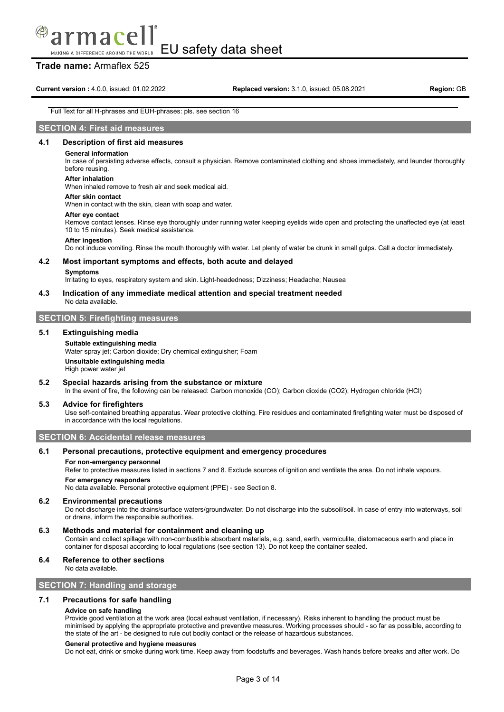# macel

EU safety data sheet MAKING A DIFFERENCE AROUND THE WORLD

### **Trade name:** Armaflex 525

#### Full Text for all H-phrases and EUH-phrases: pls. see section 16

### **SECTION 4: First aid measures**

#### **4.1 Description of first aid measures**

#### **General information**

In case of persisting adverse effects, consult a physician. Remove contaminated clothing and shoes immediately, and launder thoroughly before reusing.

#### **After inhalation**

When inhaled remove to fresh air and seek medical aid.

#### **After skin contact**

When in contact with the skin, clean with soap and water.

#### **After eye contact**

Remove contact lenses. Rinse eye thoroughly under running water keeping eyelids wide open and protecting the unaffected eye (at least 10 to 15 minutes). Seek medical assistance.

#### **After ingestion**

Do not induce vomiting. Rinse the mouth thoroughly with water. Let plenty of water be drunk in small gulps. Call a doctor immediately.

#### **4.2 Most important symptoms and effects, both acute and delayed**

#### **Symptoms**

Irritating to eyes, respiratory system and skin. Light-headedness; Dizziness; Headache; Nausea

#### **4.3 Indication of any immediate medical attention and special treatment needed**

No data available.

### **SECTION 5: Firefighting measures**

#### **5.1 Extinguishing media**

#### **Suitable extinguishing media**

Water spray jet; Carbon dioxide; Dry chemical extinguisher; Foam **Unsuitable extinguishing media** High power water jet

#### **5.2 Special hazards arising from the substance or mixture**

In the event of fire, the following can be released: Carbon monoxide (CO); Carbon dioxide (CO2); Hydrogen chloride (HCl)

#### **5.3 Advice for firefighters**

Use self-contained breathing apparatus. Wear protective clothing. Fire residues and contaminated firefighting water must be disposed of in accordance with the local regulations.

**SECTION 6: Accidental release measures**

#### **6.1 Personal precautions, protective equipment and emergency procedures**

#### **For non-emergency personnel**

Refer to protective measures listed in sections 7 and 8. Exclude sources of ignition and ventilate the area. Do not inhale vapours.

#### **For emergency responders**

No data available. Personal protective equipment (PPE) - see Section 8.

#### **6.2 Environmental precautions**

Do not discharge into the drains/surface waters/groundwater. Do not discharge into the subsoil/soil. In case of entry into waterways, soil or drains, inform the responsible authorities.

#### **6.3 Methods and material for containment and cleaning up**

Contain and collect spillage with non-combustible absorbent materials, e.g. sand, earth, vermiculite, diatomaceous earth and place in container for disposal according to local regulations (see section 13). Do not keep the container sealed.

#### **6.4 Reference to other sections**

No data available.

#### **SECTION 7: Handling and storage**

#### **7.1 Precautions for safe handling**

#### **Advice on safe handling**

Provide good ventilation at the work area (local exhaust ventilation, if necessary). Risks inherent to handling the product must be minimised by applying the appropriate protective and preventive measures. Working processes should - so far as possible, according to the state of the art - be designed to rule out bodily contact or the release of hazardous substances.

#### **General protective and hygiene measures**

Do not eat, drink or smoke during work time. Keep away from foodstuffs and beverages. Wash hands before breaks and after work. Do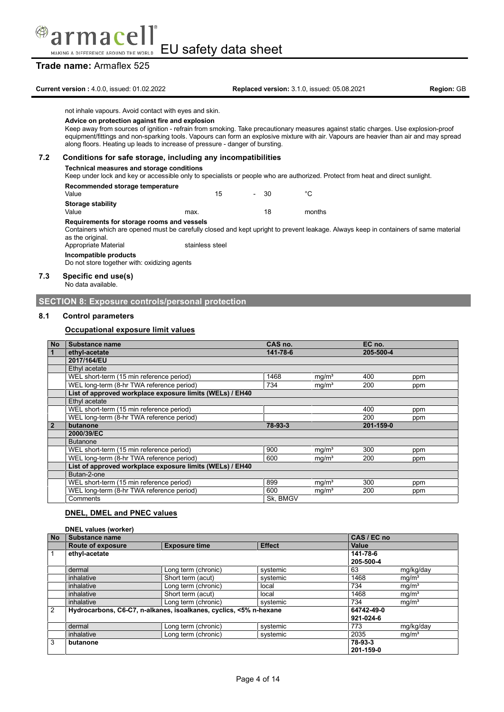

### **Trade name:** Armaflex 525

**Current version :** 4.0.0, issued: 01.02.2022 **Replaced version:** 3.1.0, issued: 05.08.2021 **Region:** GB

not inhale vapours. Avoid contact with eyes and skin.

### **Advice on protection against fire and explosion**

Keep away from sources of ignition - refrain from smoking. Take precautionary measures against static charges. Use explosion-proof equipment/fittings and non-sparking tools. Vapours can form an explosive mixture with air. Vapours are heavier than air and may spread along floors. Heating up leads to increase of pressure - danger of bursting.

#### **7.2 Conditions for safe storage, including any incompatibilities**

#### **Technical measures and storage conditions**

Keep under lock and key or accessible only to specialists or people who are authorized. Protect from heat and direct sunlight.

#### **Recommended storage temperature**

| <b>Necessitive Collection Components of Collection</b><br>Value |      | 15 | $\sim$ | - 30 | °C     |
|-----------------------------------------------------------------|------|----|--------|------|--------|
| <b>Storage stability</b>                                        |      |    |        |      |        |
| Value                                                           | max. |    |        | 18   | months |

#### **Requirements for storage rooms and vessels**

Containers which are opened must be carefully closed and kept upright to prevent leakage. Always keep in containers of same material as the original.

Appropriate Material stainless steel

**Incompatible products**

Do not store together with: oxidizing agents

### **7.3 Specific end use(s)**

No data available.

#### **SECTION 8: Exposure controls/personal protection**

#### **8.1 Control parameters**

#### **Occupational exposure limit values**

| <b>No</b>      | Substance name                                           | CAS no.  |                   | EC no.    |     |
|----------------|----------------------------------------------------------|----------|-------------------|-----------|-----|
| $\overline{1}$ | ethyl-acetate                                            | 141-78-6 |                   | 205-500-4 |     |
|                | 2017/164/EU                                              |          |                   |           |     |
|                | Ethyl acetate                                            |          |                   |           |     |
|                | WEL short-term (15 min reference period)                 | 1468     | mg/m <sup>3</sup> | 400       | ppm |
|                | WEL long-term (8-hr TWA reference period)                | 734      | mq/m <sup>3</sup> | 200       | ppm |
|                | List of approved workplace exposure limits (WELs) / EH40 |          |                   |           |     |
|                | Ethyl acetate                                            |          |                   |           |     |
|                | WEL short-term (15 min reference period)                 |          |                   | 400       | ppm |
|                | WEL long-term (8-hr TWA reference period)                |          |                   | 200       | ppm |
| $\overline{2}$ | butanone                                                 | 78-93-3  |                   | 201-159-0 |     |
|                | 2000/39/EC                                               |          |                   |           |     |
|                | <b>Butanone</b>                                          |          |                   |           |     |
|                | WEL short-term (15 min reference period)                 | 900      | mg/m <sup>3</sup> | 300       | ppm |
|                | WEL long-term (8-hr TWA reference period)                | 600      | mg/m <sup>3</sup> | 200       | ppm |
|                | List of approved workplace exposure limits (WELs) / EH40 |          |                   |           |     |
|                | Butan-2-one                                              |          |                   |           |     |
|                | WEL short-term (15 min reference period)                 | 899      | mg/m <sup>3</sup> | 300       | ppm |
|                | WEL long-term (8-hr TWA reference period)                | 600      | mg/m <sup>3</sup> | 200       | ppm |
|                | Comments                                                 | Sk. BMGV |                   |           |     |

### **DNEL, DMEL and PNEC values**

|                | <b>DNEL values (worker)</b> |                                                                   |               |              |                   |
|----------------|-----------------------------|-------------------------------------------------------------------|---------------|--------------|-------------------|
| <b>No</b>      | Substance name              |                                                                   |               | CAS / EC no  |                   |
|                | <b>Route of exposure</b>    | <b>Exposure time</b>                                              | <b>Effect</b> | <b>Value</b> |                   |
| $\vert$ 1      | ethyl-acetate               |                                                                   |               | 141-78-6     |                   |
|                |                             |                                                                   |               | 205-500-4    |                   |
|                | dermal                      | Long term (chronic)                                               | systemic      | 63           | mg/kg/day         |
|                | inhalative                  | Short term (acut)                                                 | systemic      | 1468         | mg/m <sup>3</sup> |
|                | inhalative                  | Long term (chronic)                                               | local         | 734          | mg/m <sup>3</sup> |
|                | inhalative                  | Short term (acut)                                                 | local         | 1468         | mg/m <sup>3</sup> |
|                | inhalative                  | Long term (chronic)                                               | systemic      | 734          | mg/m <sup>3</sup> |
| $\overline{2}$ |                             | Hydrocarbons, C6-C7, n-alkanes, isoalkanes, cyclics, <5% n-hexane |               | 64742-49-0   |                   |
|                |                             |                                                                   |               | 921-024-6    |                   |
|                | dermal                      | Long term (chronic)                                               | systemic      | 773          | mg/kg/day         |
|                | inhalative                  | Long term (chronic)                                               | systemic      | 2035         | mg/m <sup>3</sup> |
| 3              | butanone                    |                                                                   |               | 78-93-3      |                   |
|                |                             |                                                                   |               | 201-159-0    |                   |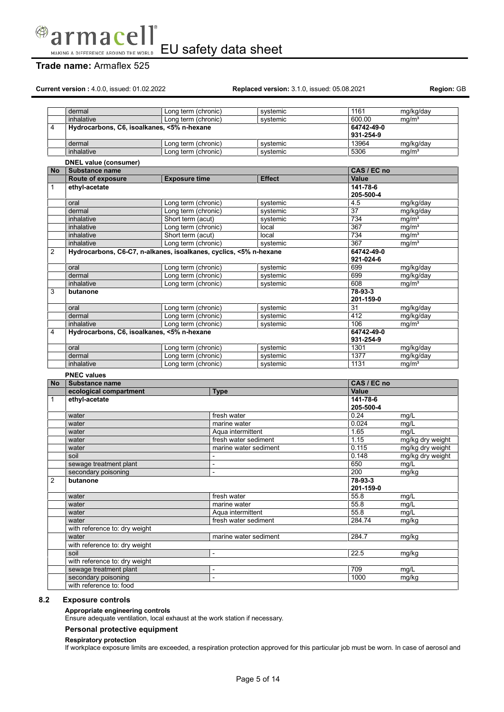

### **Trade name:** Armaflex 525

**Current version :** 4.0.0, issued: 01.02.2022 **Replaced version:** 3.1.0, issued: 05.08.2021 **Region:** GB

|                | dermal                                                            | Long term (chronic)      | systemic              | 1161                    | mg/kg/day         |
|----------------|-------------------------------------------------------------------|--------------------------|-----------------------|-------------------------|-------------------|
|                | inhalative                                                        | Long term (chronic)      | systemic              | 600.00                  | mq/m <sup>3</sup> |
| 4              | Hydrocarbons, C6, isoalkanes, <5% n-hexane                        |                          |                       | 64742-49-0<br>931-254-9 |                   |
|                | dermal                                                            | Long term (chronic)      | systemic              | 13964                   | mg/kg/day         |
|                | inhalative                                                        | Long term (chronic)      | systemic              | 5306                    | mq/m <sup>3</sup> |
|                | DNEL value (consumer)                                             |                          |                       |                         |                   |
| No             | Substance name                                                    |                          |                       | CAS / EC no             |                   |
|                | Route of exposure                                                 | <b>Exposure time</b>     | <b>Effect</b>         | Value                   |                   |
| 1              | ethyl-acetate                                                     |                          |                       | $141 - 78 - 6$          |                   |
|                |                                                                   |                          |                       | 205-500-4               |                   |
|                | oral                                                              | Long term (chronic)      | systemic              | 4.5                     | mg/kg/day         |
|                | dermal                                                            | Long term (chronic)      | systemic              | $\overline{37}$         | mg/kg/day         |
|                | inhalative                                                        | Short term (acut)        | systemic              | 734                     | mq/m <sup>3</sup> |
|                | inhalative                                                        | Long term (chronic)      | local                 | 367                     | mg/m <sup>3</sup> |
|                | inhalative                                                        | Short term (acut)        | local                 | 734                     | mq/m <sup>3</sup> |
|                | inhalative                                                        | Long term (chronic)      | systemic              | 367                     | mg/m <sup>3</sup> |
| $\overline{2}$ | Hydrocarbons, C6-C7, n-alkanes, isoalkanes, cyclics, <5% n-hexane |                          |                       | 64742-49-0<br>921-024-6 |                   |
|                | oral                                                              | Long term (chronic)      | systemic              | 699                     | mg/kg/day         |
|                | dermal                                                            | Long term (chronic)      | systemic              | 699                     | mg/kg/day         |
|                | inhalative                                                        | Long term (chronic)      | systemic              | 608                     | mq/m <sup>3</sup> |
| 3              | butanone                                                          |                          |                       | 78-93-3<br>201-159-0    |                   |
|                | oral                                                              | Long term (chronic)      | systemic              | 31                      | mg/kg/day         |
|                | dermal                                                            | Long term (chronic)      | systemic              | 412                     | mg/kg/day         |
|                | inhalative                                                        | Long term (chronic)      | systemic              | 106                     | mg/m <sup>3</sup> |
| 4              | Hydrocarbons, C6, isoalkanes, <5% n-hexane                        |                          |                       | 64742-49-0              |                   |
|                |                                                                   |                          |                       | 931-254-9               |                   |
|                | oral                                                              | Long term (chronic)      | systemic              | 1301                    | mg/kg/day         |
|                | dermal                                                            | Long term (chronic)      | systemic              | 1377                    | mg/kg/day         |
|                | inhalative                                                        | Long term (chronic)      | systemic              | 1131                    | mq/m <sup>3</sup> |
|                | <b>PNEC values</b>                                                |                          |                       |                         |                   |
| No             | <b>Substance name</b>                                             |                          |                       | CAS / EC no             |                   |
|                | ecological compartment                                            | <b>Type</b>              |                       | Value                   |                   |
| 1              | ethyl-acetate                                                     |                          |                       | 141-78-6<br>205-500-4   |                   |
|                | water                                                             |                          | fresh water           | 0.24                    | mq/L              |
|                | water                                                             |                          | marine water          | 0.024                   | mg/L              |
|                | water                                                             |                          | Aqua intermittent     | 1.65                    | mq/L              |
|                | water                                                             |                          | fresh water sediment  | 1.15                    | mg/kg dry weight  |
|                | water                                                             |                          | marine water sediment | 0.115                   | mg/kg dry weight  |
|                | soil                                                              |                          |                       | 0.148                   | mg/kg dry weight  |
|                | sewage treatment plant                                            | $\overline{\phantom{a}}$ |                       | 650                     | mg/L              |
|                | secondary poisoning                                               | $\blacksquare$           |                       | 200                     | mg/kg             |
| $\overline{2}$ | butanone                                                          |                          |                       | 78-93-3<br>201-159-0    |                   |
|                | water                                                             |                          | fresh water           | 55.8                    | mg/L              |
|                | water                                                             |                          | marine water          | 55.8                    | mq/L              |
|                | water                                                             |                          | Aqua intermittent     | 55.8                    | mg/L              |
|                | water                                                             |                          | fresh water sediment  | 284.74                  | mg/kg             |
|                | with reference to: dry weight                                     |                          |                       |                         |                   |
|                | water                                                             |                          | marine water sediment | 284.7                   | mg/kg             |
|                | with reference to: dry weight                                     |                          |                       |                         |                   |
|                | soil                                                              |                          |                       | 22.5                    | mg/kg             |
|                |                                                                   |                          |                       |                         |                   |
|                | with reference to: dry weight                                     |                          |                       |                         |                   |
|                | sewage treatment plant                                            | ÷,                       |                       | 709                     | mg/L              |
|                | secondary poisoning<br>with reference to: food                    | $\blacksquare$           |                       | 1000                    | mg/kg             |

### **8.2 Exposure controls**

#### **Appropriate engineering controls**

Ensure adequate ventilation, local exhaust at the work station if necessary.

#### **Personal protective equipment**

#### **Respiratory protection**

If workplace exposure limits are exceeded, a respiration protection approved for this particular job must be worn. In case of aerosol and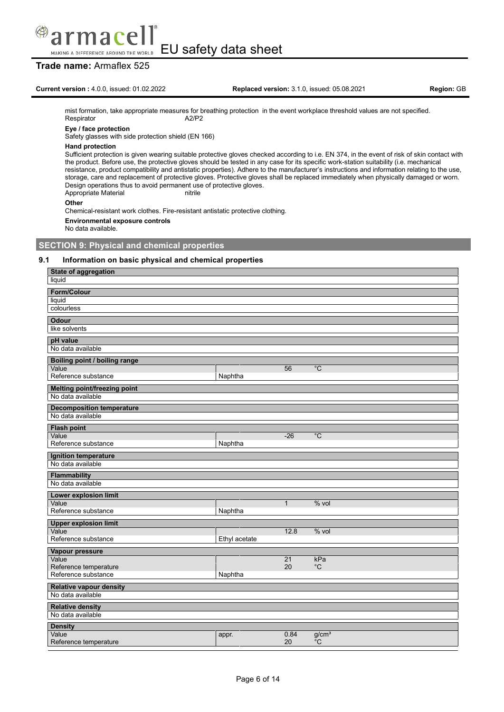

### **Trade name:** Armaflex 525

### **Current version :** 4.0.0, issued: 01.02.2022 **Replaced version:** 3.1.0, issued: 05.08.2021 **Region:** GB

mist formation, take appropriate measures for breathing protection in the event workplace threshold values are not specified.<br>Respirator  $A2/P2$ Respirator

### **Eye / face protection**

Safety glasses with side protection shield (EN 166)

#### **Hand protection**

Sufficient protection is given wearing suitable protective gloves checked according to i.e. EN 374, in the event of risk of skin contact with the product. Before use, the protective gloves should be tested in any case for its specific work-station suitability (i.e. mechanical resistance, product compatibility and antistatic properties). Adhere to the manufacturer's instructions and information relating to the use, storage, care and replacement of protective gloves. Protective gloves shall be replaced immediately when physically damaged or worn. Design operations thus to avoid permanent use of protective gloves.<br>Appropriate Material puttile Appropriate Material

#### **Other**

Chemical-resistant work clothes. Fire-resistant antistatic protective clothing.

**Environmental exposure controls**

No data available.

### **SECTION 9: Physical and chemical properties**

#### **9.1 Information on basic physical and chemical properties**

| State of aggregation<br>liquid                |               |              |                         |
|-----------------------------------------------|---------------|--------------|-------------------------|
| Form/Colour                                   |               |              |                         |
| liquid                                        |               |              |                         |
| colourless                                    |               |              |                         |
| <b>Odour</b>                                  |               |              |                         |
| like solvents                                 |               |              |                         |
| pH value                                      |               |              |                         |
| No data available                             |               |              |                         |
| <b>Boiling point / boiling range</b><br>Value |               | 56           | $\overline{C}$          |
| Reference substance                           | Naphtha       |              |                         |
| <b>Melting point/freezing point</b>           |               |              |                         |
| No data available                             |               |              |                         |
| <b>Decomposition temperature</b>              |               |              |                         |
| No data available                             |               |              |                         |
| <b>Flash point</b><br>Value                   |               | $-26$        | $^{\circ}C$             |
| Reference substance                           | Naphtha       |              |                         |
| Ignition temperature                          |               |              |                         |
| No data available                             |               |              |                         |
| Flammability                                  |               |              |                         |
| No data available                             |               |              |                         |
| Lower explosion limit                         |               |              |                         |
| Value<br>Reference substance                  | Naphtha       | $\mathbf{1}$ | $%$ vol                 |
| <b>Upper explosion limit</b>                  |               |              |                         |
| Value                                         |               | 12.8         | $%$ vol                 |
| Reference substance                           | Ethyl acetate |              |                         |
| Vapour pressure                               |               |              |                         |
| Value                                         |               | 21<br>20     | kPa<br>$^{\circ}C$      |
| Reference temperature<br>Reference substance  | Naphtha       |              |                         |
| <b>Relative vapour density</b>                |               |              |                         |
| No data available                             |               |              |                         |
| <b>Relative density</b>                       |               |              |                         |
| No data available                             |               |              |                         |
| <b>Density</b>                                |               |              |                         |
| Value<br>Reference temperature                | appr.         | 0.84<br>20   | g/cm <sup>3</sup><br>°C |
|                                               |               |              |                         |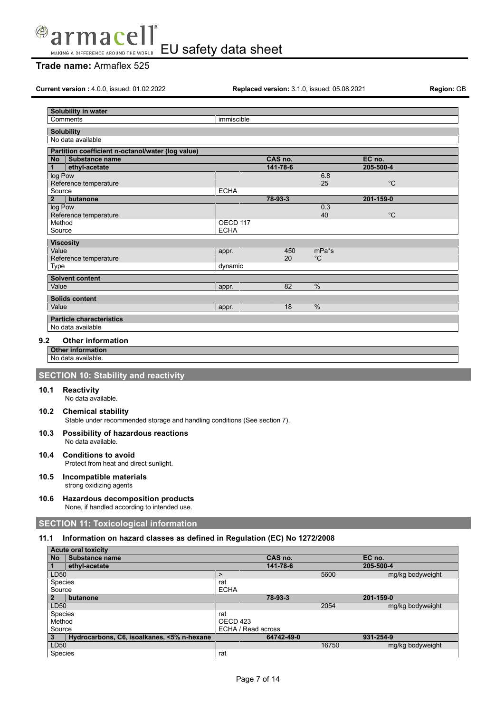

### **Trade name:** Armaflex 525

**Current version :** 4.0.0, issued: 01.02.2022 **Replaced version:** 3.1.0, issued: 05.08.2021 **Region:** GB

|              | Solubility in water                               |             |          |               |             |  |
|--------------|---------------------------------------------------|-------------|----------|---------------|-------------|--|
|              | Comments                                          | immiscible  |          |               |             |  |
|              | <b>Solubility</b>                                 |             |          |               |             |  |
|              | No data available                                 |             |          |               |             |  |
|              | Partition coefficient n-octanol/water (log value) |             |          |               |             |  |
| <b>No</b>    | Substance name                                    |             | CAS no.  |               | EC no.      |  |
| 1            | ethyl-acetate                                     |             | 141-78-6 |               | 205-500-4   |  |
| log Pow      |                                                   |             |          | 6.8           |             |  |
|              | Reference temperature                             |             |          | 25            | $^{\circ}C$ |  |
| Source       |                                                   | <b>ECHA</b> |          |               |             |  |
| $\mathbf{2}$ | butanone                                          |             | 78-93-3  |               | 201-159-0   |  |
| log Pow      | Reference temperature                             |             |          | 0.3<br>40     | $^{\circ}C$ |  |
| Method       |                                                   | OECD 117    |          |               |             |  |
| Source       |                                                   | <b>ECHA</b> |          |               |             |  |
|              |                                                   |             |          |               |             |  |
| Value        | <b>Viscosity</b>                                  | appr.       | 450      | $mPa*$ s      |             |  |
|              | Reference temperature                             |             | 20       | $^{\circ}$ C  |             |  |
| Type         |                                                   | dynamic     |          |               |             |  |
|              | <b>Solvent content</b>                            |             |          |               |             |  |
| Value        |                                                   | appr.       | 82       | %             |             |  |
|              | <b>Solids content</b>                             |             |          |               |             |  |
| Value        |                                                   | appr.       | 18       | $\frac{0}{0}$ |             |  |
|              | <b>Particle characteristics</b>                   |             |          |               |             |  |
|              | No data available                                 |             |          |               |             |  |
|              |                                                   |             |          |               |             |  |
| 9.2          | <b>Other information</b>                          |             |          |               |             |  |
|              | <b>Other information</b>                          |             |          |               |             |  |

No data available.

### **SECTION 10: Stability and reactivity**

#### **10.1 Reactivity**

No data available.

### **10.2 Chemical stability**

Stable under recommended storage and handling conditions (See section 7).

- **10.3 Possibility of hazardous reactions** No data available.
- **10.4 Conditions to avoid** Protect from heat and direct sunlight.

#### **10.5 Incompatible materials** strong oxidizing agents

**10.6 Hazardous decomposition products** None, if handled according to intended use.

### **SECTION 11: Toxicological information**

### **11.1 Information on hazard classes as defined in Regulation (EC) No 1272/2008**

|                | <b>Acute oral toxicity</b>                 |                    |            |       |                  |
|----------------|--------------------------------------------|--------------------|------------|-------|------------------|
| <b>No</b>      | Substance name                             |                    | CAS no.    |       | EC no.           |
| $\mathbf{1}$   | ethyl-acetate                              |                    | 141-78-6   |       | 205-500-4        |
| LD50           |                                            | ⋗                  |            | 5600  | mg/kg bodyweight |
| Species        |                                            | rat                |            |       |                  |
| Source         |                                            | <b>ECHA</b>        |            |       |                  |
| $\overline{2}$ | butanone                                   |                    | 78-93-3    |       | 201-159-0        |
| LD50           |                                            |                    |            | 2054  | mg/kg bodyweight |
| Species        |                                            | rat                |            |       |                  |
| Method         |                                            | OECD 423           |            |       |                  |
| Source         |                                            | ECHA / Read across |            |       |                  |
| $\mathbf{3}$   | Hydrocarbons, C6, isoalkanes, <5% n-hexane |                    | 64742-49-0 |       | 931-254-9        |
| LD50           |                                            |                    |            | 16750 | mg/kg bodyweight |
| Species        |                                            | rat                |            |       |                  |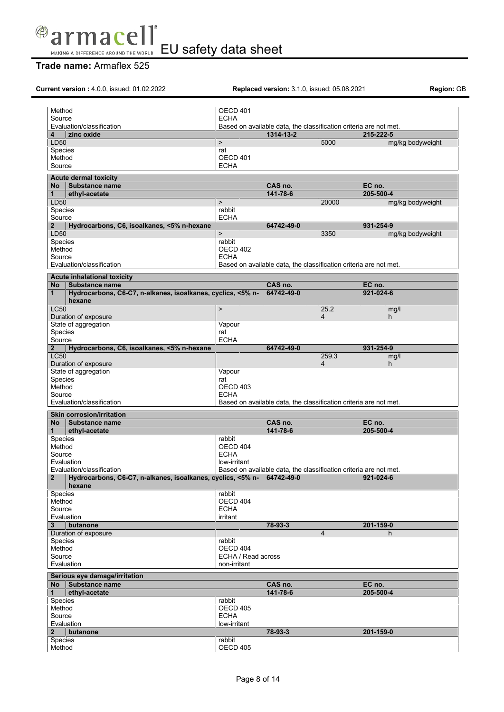

|                                  | Current version: 4.0.0, issued: 01.02.2022                            |                    | <b>Replaced version: 3.1.0, issued: 05.08.2021</b>                |                |                  | Region: GB |
|----------------------------------|-----------------------------------------------------------------------|--------------------|-------------------------------------------------------------------|----------------|------------------|------------|
| Method                           |                                                                       | OECD 401           |                                                                   |                |                  |            |
| Source                           |                                                                       | <b>ECHA</b>        |                                                                   |                |                  |            |
| Evaluation/classification        |                                                                       |                    | Based on available data, the classification criteria are not met. |                |                  |            |
| zinc oxide<br>4                  |                                                                       |                    | 1314-13-2                                                         |                | 215-222-5        |            |
| LD50                             |                                                                       | $\mathbf{r}$       |                                                                   | 5000           | mg/kg bodyweight |            |
| Species                          |                                                                       | rat                |                                                                   |                |                  |            |
| Method                           |                                                                       | OECD 401           |                                                                   |                |                  |            |
| Source                           |                                                                       | <b>ECHA</b>        |                                                                   |                |                  |            |
| <b>Acute dermal toxicity</b>     |                                                                       |                    |                                                                   |                |                  |            |
| No Substance name                |                                                                       |                    | CAS no.                                                           |                | EC no.           |            |
| ethyl-acetate<br>1               |                                                                       |                    | 141-78-6                                                          |                | 205-500-4        |            |
| LD50                             |                                                                       | $\mathbf{r}$       |                                                                   | 20000          | mg/kg bodyweight |            |
| Species                          |                                                                       | rabbit             |                                                                   |                |                  |            |
| Source                           |                                                                       | <b>ECHA</b>        |                                                                   |                |                  |            |
| $\mathbf{2}$<br>LD50             | Hydrocarbons, C6, isoalkanes, <5% n-hexane                            | $\,>$              | 64742-49-0                                                        | 3350           | 931-254-9        |            |
| Species                          |                                                                       | rabbit             |                                                                   |                | mg/kg bodyweight |            |
| Method                           |                                                                       | OECD 402           |                                                                   |                |                  |            |
| Source                           |                                                                       | <b>ECHA</b>        |                                                                   |                |                  |            |
| Evaluation/classification        |                                                                       |                    | Based on available data, the classification criteria are not met. |                |                  |            |
|                                  |                                                                       |                    |                                                                   |                |                  |            |
|                                  | Acute inhalational toxicity                                           |                    |                                                                   |                |                  |            |
| <b>No</b>                        | l Substance name                                                      |                    | CAS no.                                                           |                | EC no.           |            |
| $\mathbf{1}$<br>hexane           | Hydrocarbons, C6-C7, n-alkanes, isoalkanes, cyclics, <5% n-           |                    | 64742-49-0                                                        |                | 921-024-6        |            |
| <b>LC50</b>                      |                                                                       | $\, > \,$          |                                                                   | 25.2           | mg/l             |            |
| Duration of exposure             |                                                                       |                    |                                                                   | 4              | h                |            |
| State of aggregation             |                                                                       | Vapour             |                                                                   |                |                  |            |
| Species<br>Source                |                                                                       | rat<br><b>ECHA</b> |                                                                   |                |                  |            |
|                                  | Hydrocarbons, C6, isoalkanes, <5% n-hexane                            |                    | 64742-49-0                                                        |                | 931-254-9        |            |
| $\mathbf{2}$<br><b>LC50</b>      |                                                                       |                    |                                                                   | 259.3          | mg/l             |            |
| Duration of exposure             |                                                                       |                    |                                                                   | $\overline{4}$ | h                |            |
| State of aggregation             |                                                                       | Vapour             |                                                                   |                |                  |            |
| Species                          |                                                                       | rat                |                                                                   |                |                  |            |
| Method                           |                                                                       | OECD 403           |                                                                   |                |                  |            |
| Source                           |                                                                       | <b>ECHA</b>        |                                                                   |                |                  |            |
| Evaluation/classification        |                                                                       |                    | Based on available data, the classification criteria are not met. |                |                  |            |
| <b>Skin corrosion/irritation</b> |                                                                       |                    |                                                                   |                |                  |            |
| <b>No</b>                        | Substance name                                                        |                    | CAS no.                                                           |                | EC no.           |            |
| ethyl-acetate<br>1               |                                                                       |                    | 141-78-6                                                          |                | 205-500-4        |            |
| Species                          |                                                                       | rabbit             |                                                                   |                |                  |            |
| Method                           |                                                                       | OECD 404           |                                                                   |                |                  |            |
| Source                           |                                                                       | <b>ECHA</b>        |                                                                   |                |                  |            |
| Evaluation                       |                                                                       | low-irritant       |                                                                   |                |                  |            |
| Evaluation/classification        |                                                                       |                    | Based on available data, the classification criteria are not met. |                |                  |            |
| $\overline{2}$<br>hexane         | Hydrocarbons, C6-C7, n-alkanes, isoalkanes, cyclics, <5% n-64742-49-0 |                    |                                                                   |                | 921-024-6        |            |
| Species                          |                                                                       | rabbit             |                                                                   |                |                  |            |
| Method                           |                                                                       | OECD 404           |                                                                   |                |                  |            |
| Source                           |                                                                       | <b>ECHA</b>        |                                                                   |                |                  |            |
| Evaluation                       |                                                                       | irritant           |                                                                   |                |                  |            |
| 3<br>butanone                    |                                                                       |                    | 78-93-3                                                           |                | 201-159-0        |            |
| Duration of exposure             |                                                                       |                    |                                                                   | $\overline{4}$ | h.               |            |
| Species                          |                                                                       | rabbit             |                                                                   |                |                  |            |
| Method                           |                                                                       | OECD 404           |                                                                   |                |                  |            |
| Source                           |                                                                       | ECHA / Read across |                                                                   |                |                  |            |
| Evaluation                       |                                                                       | non-irritant       |                                                                   |                |                  |            |
|                                  | Serious eye damage/irritation                                         |                    |                                                                   |                |                  |            |
| No l                             | Substance name                                                        |                    | CAS no.                                                           |                | EC no.           |            |
| ethyl-acetate<br>1               |                                                                       |                    | 141-78-6                                                          |                | 205-500-4        |            |
| Species                          |                                                                       | rabbit             |                                                                   |                |                  |            |
| Method                           |                                                                       | <b>OECD 405</b>    |                                                                   |                |                  |            |
| Source                           |                                                                       | <b>ECHA</b>        |                                                                   |                |                  |            |
| Evaluation                       |                                                                       | low-irritant       |                                                                   |                |                  |            |
| $\overline{2}$<br>butanone       |                                                                       |                    | 78-93-3                                                           |                | 201-159-0        |            |
| Species                          |                                                                       | rabbit             |                                                                   |                |                  |            |
| Method                           |                                                                       | OECD 405           |                                                                   |                |                  |            |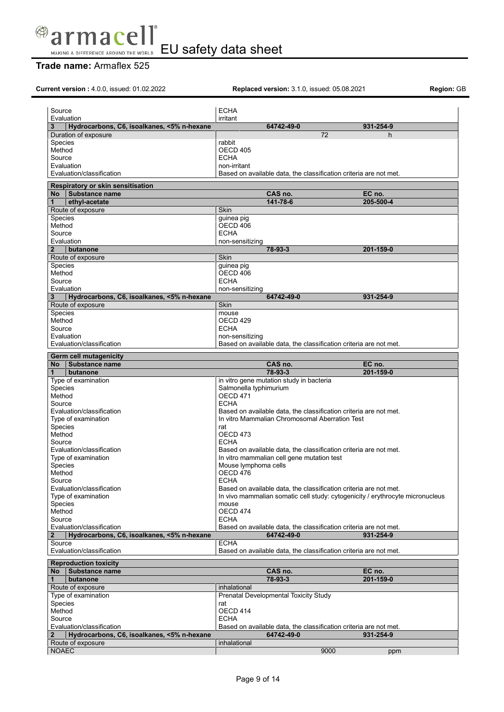

| Current version: 4.0.0, issued: 01.02.2022                 |                        | <b>Replaced version: 3.1.0, issued: 05.08.2021</b>                |                                                                               | Region: GB |
|------------------------------------------------------------|------------------------|-------------------------------------------------------------------|-------------------------------------------------------------------------------|------------|
|                                                            |                        |                                                                   |                                                                               |            |
| Source                                                     | <b>ECHA</b>            |                                                                   |                                                                               |            |
| Evaluation                                                 | irritant               |                                                                   |                                                                               |            |
| 3<br>Hydrocarbons, C6, isoalkanes, <5% n-hexane            |                        | 64742-49-0                                                        | 931-254-9                                                                     |            |
| Duration of exposure                                       |                        | 72                                                                | h.                                                                            |            |
| <b>Species</b>                                             | rabbit                 |                                                                   |                                                                               |            |
| Method                                                     | OECD 405               |                                                                   |                                                                               |            |
| Source                                                     | <b>ECHA</b>            |                                                                   |                                                                               |            |
| Evaluation                                                 | non-irritant           |                                                                   |                                                                               |            |
| Evaluation/classification                                  |                        | Based on available data, the classification criteria are not met. |                                                                               |            |
|                                                            |                        |                                                                   |                                                                               |            |
| Respiratory or skin sensitisation<br>No Substance name     |                        |                                                                   |                                                                               |            |
| $\mathbf{1}$                                               |                        | CAS no.                                                           | EC no.                                                                        |            |
| ethyl-acetate                                              |                        | 141-78-6                                                          | 205-500-4                                                                     |            |
| Route of exposure                                          | <b>Skin</b>            |                                                                   |                                                                               |            |
| <b>Species</b>                                             | guinea pig             |                                                                   |                                                                               |            |
| Method                                                     | OECD 406               |                                                                   |                                                                               |            |
| Source                                                     | <b>ECHA</b>            |                                                                   |                                                                               |            |
| Evaluation                                                 | non-sensitizing        |                                                                   |                                                                               |            |
| $\mathbf{2}$<br>butanone                                   |                        | 78-93-3                                                           | 201-159-0                                                                     |            |
| Route of exposure                                          | Skin                   |                                                                   |                                                                               |            |
| <b>Species</b>                                             | guinea pig             |                                                                   |                                                                               |            |
| Method                                                     | OECD 406               |                                                                   |                                                                               |            |
| Source                                                     | <b>ECHA</b>            |                                                                   |                                                                               |            |
| Evaluation                                                 | non-sensitizing        |                                                                   |                                                                               |            |
| Hydrocarbons, C6, isoalkanes, <5% n-hexane<br>3            |                        | 64742-49-0                                                        | 931-254-9                                                                     |            |
| Route of exposure                                          | Skin                   |                                                                   |                                                                               |            |
| <b>Species</b>                                             | mouse                  |                                                                   |                                                                               |            |
| Method                                                     | OECD 429               |                                                                   |                                                                               |            |
| Source                                                     | <b>ECHA</b>            |                                                                   |                                                                               |            |
| Evaluation                                                 | non-sensitizing        |                                                                   |                                                                               |            |
| Evaluation/classification                                  |                        | Based on available data, the classification criteria are not met. |                                                                               |            |
| <b>Germ cell mutagenicity</b>                              |                        |                                                                   |                                                                               |            |
| <b>No</b><br>Substance name                                |                        | CAS no.                                                           | EC no.                                                                        |            |
| butanone<br>$\mathbf 1$                                    |                        | 78-93-3                                                           | 201-159-0                                                                     |            |
| Type of examination                                        |                        | in vitro gene mutation study in bacteria                          |                                                                               |            |
| Species                                                    | Salmonella typhimurium |                                                                   |                                                                               |            |
| Method                                                     | OECD 471               |                                                                   |                                                                               |            |
| Source                                                     | <b>ECHA</b>            |                                                                   |                                                                               |            |
| Evaluation/classification                                  |                        | Based on available data, the classification criteria are not met. |                                                                               |            |
| Type of examination                                        |                        | In vitro Mammalian Chromosomal Aberration Test                    |                                                                               |            |
| Species                                                    | rat                    |                                                                   |                                                                               |            |
| Method                                                     | OECD 473               |                                                                   |                                                                               |            |
| Source                                                     | <b>ECHA</b>            |                                                                   |                                                                               |            |
| Evaluation/classification                                  |                        | Based on available data, the classification criteria are not met. |                                                                               |            |
| Type of examination                                        |                        | In vitro mammalian cell gene mutation test                        |                                                                               |            |
| Species                                                    | Mouse lymphoma cells   |                                                                   |                                                                               |            |
| Method                                                     | OECD 476               |                                                                   |                                                                               |            |
| Source                                                     | <b>ECHA</b>            |                                                                   |                                                                               |            |
| Evaluation/classification                                  |                        | Based on available data, the classification criteria are not met. |                                                                               |            |
| Type of examination                                        |                        |                                                                   | In vivo mammalian somatic cell study: cytogenicity / erythrocyte micronucleus |            |
| Species                                                    | mouse                  |                                                                   |                                                                               |            |
| Method                                                     | OECD 474               |                                                                   |                                                                               |            |
| Source                                                     | <b>ECHA</b>            |                                                                   |                                                                               |            |
| Evaluation/classification                                  |                        | Based on available data, the classification criteria are not met. |                                                                               |            |
| Hydrocarbons, C6, isoalkanes, <5% n-hexane<br>$\mathbf{2}$ |                        | 64742-49-0                                                        | 931-254-9                                                                     |            |
| Source                                                     | <b>ECHA</b>            |                                                                   |                                                                               |            |
| Evaluation/classification                                  |                        | Based on available data, the classification criteria are not met. |                                                                               |            |
|                                                            |                        |                                                                   |                                                                               |            |
| <b>Reproduction toxicity</b>                               |                        |                                                                   |                                                                               |            |
| No   Substance name                                        |                        | CAS no.                                                           | EC no.                                                                        |            |
| $\mathbf{1}$<br>butanone                                   |                        | 78-93-3                                                           | 201-159-0                                                                     |            |
| Route of exposure                                          | inhalational           |                                                                   |                                                                               |            |
| Type of examination                                        |                        | Prenatal Developmental Toxicity Study                             |                                                                               |            |
| Species                                                    | rat                    |                                                                   |                                                                               |            |
| Method                                                     | OECD 414               |                                                                   |                                                                               |            |
| Source                                                     | <b>ECHA</b>            |                                                                   |                                                                               |            |
| Evaluation/classification                                  |                        | Based on available data, the classification criteria are not met. |                                                                               |            |
| Hydrocarbons, C6, isoalkanes, <5% n-hexane<br>2            |                        | 64742-49-0                                                        | 931-254-9                                                                     |            |
| Route of exposure                                          | inhalational           |                                                                   |                                                                               |            |
| <b>NOAEC</b>                                               |                        | 9000                                                              | ppm                                                                           |            |
|                                                            |                        |                                                                   |                                                                               |            |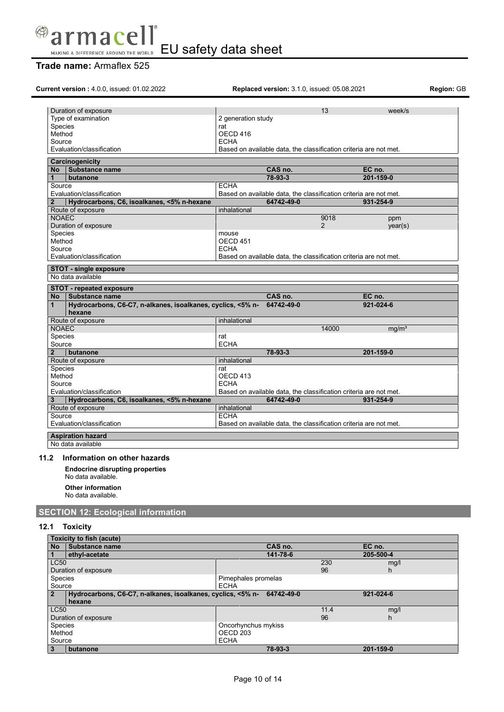

# **Trade name:** Armaflex 525

| Current version: 4.0.0, issued: 01.02.2022                                                           | <b>Replaced version: 3.1.0, issued: 05.08.2021</b>                              |                |                     | Region: GB |
|------------------------------------------------------------------------------------------------------|---------------------------------------------------------------------------------|----------------|---------------------|------------|
| Duration of exposure                                                                                 |                                                                                 | 13             | week/s              |            |
| Type of examination                                                                                  | 2 generation study                                                              |                |                     |            |
| Species                                                                                              | rat                                                                             |                |                     |            |
| Method                                                                                               | OECD 416                                                                        |                |                     |            |
| Source                                                                                               | <b>ECHA</b>                                                                     |                |                     |            |
| Evaluation/classification                                                                            | Based on available data, the classification criteria are not met.               |                |                     |            |
| Carcinogenicity                                                                                      |                                                                                 |                |                     |            |
| Substance name<br>N <sub>o</sub>                                                                     | CAS no.                                                                         |                | EC no.              |            |
| 1<br>butanone                                                                                        | 78-93-3                                                                         |                | 201-159-0           |            |
| Source                                                                                               | <b>ECHA</b>                                                                     |                |                     |            |
| Evaluation/classification                                                                            | Based on available data, the classification criteria are not met.               |                |                     |            |
| Hydrocarbons, C6, isoalkanes, <5% n-hexane<br>$\mathbf{2}$                                           | 64742-49-0                                                                      |                | 931-254-9           |            |
| Route of exposure                                                                                    | inhalational                                                                    |                |                     |            |
| <b>NOAEC</b>                                                                                         |                                                                                 | 9018           | ppm                 |            |
| Duration of exposure                                                                                 |                                                                                 | $\overline{2}$ | year(s)             |            |
| Species                                                                                              | mouse                                                                           |                |                     |            |
| Method                                                                                               | OECD <sub>451</sub>                                                             |                |                     |            |
| Source                                                                                               | <b>ECHA</b>                                                                     |                |                     |            |
| Evaluation/classification                                                                            | Based on available data, the classification criteria are not met.               |                |                     |            |
| STOT - single exposure                                                                               |                                                                                 |                |                     |            |
| No data available                                                                                    |                                                                                 |                |                     |            |
| <b>STOT - repeated exposure</b><br>No.                                                               |                                                                                 |                |                     |            |
| <b>∣Substance name</b><br>Hydrocarbons, C6-C7, n-alkanes, isoalkanes, cyclics, <5% n-<br>1<br>hexane | CAS no.<br>64742-49-0                                                           |                | EC no.<br>921-024-6 |            |
|                                                                                                      | inhalational                                                                    |                |                     |            |
| Route of exposure<br><b>NOAEC</b>                                                                    |                                                                                 | 14000          | mq/m <sup>3</sup>   |            |
| Species                                                                                              | rat                                                                             |                |                     |            |
| Source                                                                                               | <b>ECHA</b>                                                                     |                |                     |            |
| butanone<br>$\overline{2}$                                                                           | 78-93-3                                                                         |                | 201-159-0           |            |
|                                                                                                      | inhalational                                                                    |                |                     |            |
| Route of exposure                                                                                    | rat                                                                             |                |                     |            |
| Species                                                                                              |                                                                                 |                |                     |            |
| Method<br>Source                                                                                     | OECD 413<br><b>ECHA</b>                                                         |                |                     |            |
|                                                                                                      |                                                                                 |                |                     |            |
| Evaluation/classification                                                                            | Based on available data, the classification criteria are not met.<br>64742-49-0 |                | 931-254-9           |            |
| Hydrocarbons, C6, isoalkanes, <5% n-hexane                                                           |                                                                                 |                |                     |            |
| Route of exposure<br>Source                                                                          | inhalational<br><b>ECHA</b>                                                     |                |                     |            |

### **11.2 Information on other hazards**

**Endocrine disrupting properties**

No data available.

**Other information**

No data available.

## **SECTION 12: Ecological information**

### **12.1 Toxicity**

| Toxicity to fish (acute) |                                                                        |                     |      |           |
|--------------------------|------------------------------------------------------------------------|---------------------|------|-----------|
| <b>No</b>                | Substance name                                                         | CAS no.             |      | EC no.    |
|                          | ethyl-acetate                                                          | 141-78-6            |      | 205-500-4 |
| <b>LC50</b>              |                                                                        |                     | 230  | mg/l      |
|                          | Duration of exposure                                                   |                     | 96   | h.        |
| <b>Species</b>           |                                                                        | Pimephales promelas |      |           |
| Source                   |                                                                        | <b>ECHA</b>         |      |           |
| 2                        | Hydrocarbons, C6-C7, n-alkanes, isoalkanes, cyclics, <5% n- 64742-49-0 |                     |      | 921-024-6 |
|                          | hexane                                                                 |                     |      |           |
| <b>LC50</b>              |                                                                        |                     | 11.4 | mg/l      |
| Duration of exposure     |                                                                        |                     | 96   | h.        |
| <b>Species</b>           |                                                                        |                     |      |           |
|                          |                                                                        | Oncorhynchus mykiss |      |           |
| Method                   |                                                                        | OECD 203            |      |           |
| Source                   |                                                                        | <b>ECHA</b>         |      |           |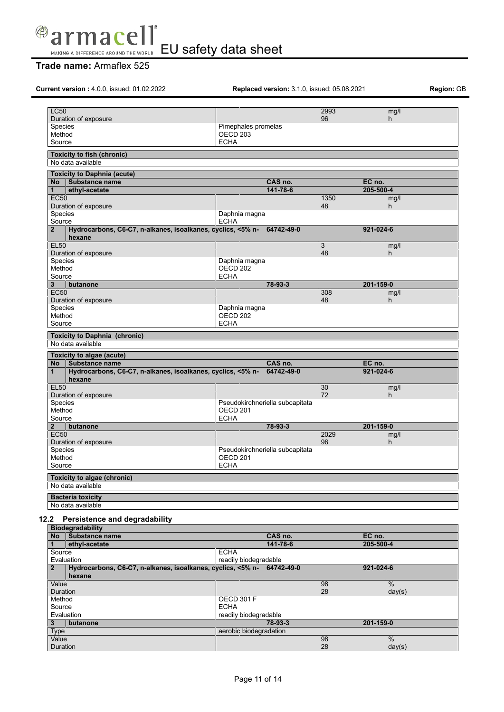

| <b>LC50</b><br>2993<br>96<br>Pimephales promelas<br>OECD <sub>203</sub><br><b>ECHA</b><br>CAS no.<br>EC no.<br>ethyl-acetate<br>141-78-6<br>205-500-4<br>1350<br>48<br>Daphnia magna<br><b>ECHA</b><br>Hydrocarbons, C6-C7, n-alkanes, isoalkanes, cyclics, <5% n- 64742-49-0<br>921-024-6<br>hexane<br>3<br>48<br>Daphnia magna<br>OECD <sub>202</sub><br><b>ECHA</b><br>78-93-3<br>201-159-0<br>butanone<br>308<br>48<br>Daphnia magna<br>OECD <sub>202</sub><br><b>ECHA</b><br>Substance name<br>CAS no.<br>EC no.<br>Hydrocarbons, C6-C7, n-alkanes, isoalkanes, cyclics, <5% n- 64742-49-0<br>921-024-6<br>hexane<br>30<br>72<br>Pseudokirchneriella subcapitata<br>OECD <sub>201</sub><br><b>ECHA</b><br>78-93-3<br>201-159-0<br>butanone<br>2029<br>96<br>Pseudokirchneriella subcapitata | mg/l<br>h<br>mg/l<br>h.<br>mg/l<br>h |
|--------------------------------------------------------------------------------------------------------------------------------------------------------------------------------------------------------------------------------------------------------------------------------------------------------------------------------------------------------------------------------------------------------------------------------------------------------------------------------------------------------------------------------------------------------------------------------------------------------------------------------------------------------------------------------------------------------------------------------------------------------------------------------------------------|--------------------------------------|
| Duration of exposure                                                                                                                                                                                                                                                                                                                                                                                                                                                                                                                                                                                                                                                                                                                                                                             |                                      |
| Species<br>Method<br>Source<br><b>Toxicity to fish (chronic)</b><br>No data available<br><b>Toxicity to Daphnia (acute)</b><br>No Substance name<br>1<br><b>EC50</b><br>Duration of exposure<br>Species<br>Source<br>$\overline{2}$<br><b>EL50</b><br>Duration of exposure<br>Species<br>Method<br>Source<br>3<br><b>EC50</b><br>Duration of exposure<br>Species<br>Method<br>Source<br><b>Toxicity to Daphnia (chronic)</b><br>No data available<br>Toxicity to algae (acute)<br>No l<br>$\mathbf{1}$<br><b>EL50</b><br>Duration of exposure<br>Species<br>Method<br>Source<br>$\overline{2}$<br><b>EC50</b><br>Duration of exposure<br><b>Species</b>                                                                                                                                          |                                      |
|                                                                                                                                                                                                                                                                                                                                                                                                                                                                                                                                                                                                                                                                                                                                                                                                  |                                      |
|                                                                                                                                                                                                                                                                                                                                                                                                                                                                                                                                                                                                                                                                                                                                                                                                  |                                      |
|                                                                                                                                                                                                                                                                                                                                                                                                                                                                                                                                                                                                                                                                                                                                                                                                  |                                      |
|                                                                                                                                                                                                                                                                                                                                                                                                                                                                                                                                                                                                                                                                                                                                                                                                  |                                      |
|                                                                                                                                                                                                                                                                                                                                                                                                                                                                                                                                                                                                                                                                                                                                                                                                  |                                      |
|                                                                                                                                                                                                                                                                                                                                                                                                                                                                                                                                                                                                                                                                                                                                                                                                  |                                      |
|                                                                                                                                                                                                                                                                                                                                                                                                                                                                                                                                                                                                                                                                                                                                                                                                  |                                      |
|                                                                                                                                                                                                                                                                                                                                                                                                                                                                                                                                                                                                                                                                                                                                                                                                  |                                      |
|                                                                                                                                                                                                                                                                                                                                                                                                                                                                                                                                                                                                                                                                                                                                                                                                  |                                      |
|                                                                                                                                                                                                                                                                                                                                                                                                                                                                                                                                                                                                                                                                                                                                                                                                  |                                      |
|                                                                                                                                                                                                                                                                                                                                                                                                                                                                                                                                                                                                                                                                                                                                                                                                  |                                      |
|                                                                                                                                                                                                                                                                                                                                                                                                                                                                                                                                                                                                                                                                                                                                                                                                  |                                      |
|                                                                                                                                                                                                                                                                                                                                                                                                                                                                                                                                                                                                                                                                                                                                                                                                  |                                      |
|                                                                                                                                                                                                                                                                                                                                                                                                                                                                                                                                                                                                                                                                                                                                                                                                  |                                      |
|                                                                                                                                                                                                                                                                                                                                                                                                                                                                                                                                                                                                                                                                                                                                                                                                  |                                      |
|                                                                                                                                                                                                                                                                                                                                                                                                                                                                                                                                                                                                                                                                                                                                                                                                  |                                      |
|                                                                                                                                                                                                                                                                                                                                                                                                                                                                                                                                                                                                                                                                                                                                                                                                  |                                      |
|                                                                                                                                                                                                                                                                                                                                                                                                                                                                                                                                                                                                                                                                                                                                                                                                  |                                      |
|                                                                                                                                                                                                                                                                                                                                                                                                                                                                                                                                                                                                                                                                                                                                                                                                  | mg/l<br>h                            |
|                                                                                                                                                                                                                                                                                                                                                                                                                                                                                                                                                                                                                                                                                                                                                                                                  |                                      |
|                                                                                                                                                                                                                                                                                                                                                                                                                                                                                                                                                                                                                                                                                                                                                                                                  |                                      |
|                                                                                                                                                                                                                                                                                                                                                                                                                                                                                                                                                                                                                                                                                                                                                                                                  |                                      |
|                                                                                                                                                                                                                                                                                                                                                                                                                                                                                                                                                                                                                                                                                                                                                                                                  |                                      |
|                                                                                                                                                                                                                                                                                                                                                                                                                                                                                                                                                                                                                                                                                                                                                                                                  |                                      |
|                                                                                                                                                                                                                                                                                                                                                                                                                                                                                                                                                                                                                                                                                                                                                                                                  | mg/l                                 |
|                                                                                                                                                                                                                                                                                                                                                                                                                                                                                                                                                                                                                                                                                                                                                                                                  | h.                                   |
|                                                                                                                                                                                                                                                                                                                                                                                                                                                                                                                                                                                                                                                                                                                                                                                                  |                                      |
|                                                                                                                                                                                                                                                                                                                                                                                                                                                                                                                                                                                                                                                                                                                                                                                                  |                                      |
|                                                                                                                                                                                                                                                                                                                                                                                                                                                                                                                                                                                                                                                                                                                                                                                                  |                                      |
|                                                                                                                                                                                                                                                                                                                                                                                                                                                                                                                                                                                                                                                                                                                                                                                                  |                                      |
|                                                                                                                                                                                                                                                                                                                                                                                                                                                                                                                                                                                                                                                                                                                                                                                                  | mg/l<br>h                            |
|                                                                                                                                                                                                                                                                                                                                                                                                                                                                                                                                                                                                                                                                                                                                                                                                  |                                      |
| OECD <sub>201</sub><br>Method                                                                                                                                                                                                                                                                                                                                                                                                                                                                                                                                                                                                                                                                                                                                                                    |                                      |
| <b>ECHA</b><br>Source                                                                                                                                                                                                                                                                                                                                                                                                                                                                                                                                                                                                                                                                                                                                                                            |                                      |
| <b>Toxicity to algae (chronic)</b>                                                                                                                                                                                                                                                                                                                                                                                                                                                                                                                                                                                                                                                                                                                                                               |                                      |
| No data available                                                                                                                                                                                                                                                                                                                                                                                                                                                                                                                                                                                                                                                                                                                                                                                |                                      |
| <b>Bacteria toxicity</b>                                                                                                                                                                                                                                                                                                                                                                                                                                                                                                                                                                                                                                                                                                                                                                         |                                      |
| No data available                                                                                                                                                                                                                                                                                                                                                                                                                                                                                                                                                                                                                                                                                                                                                                                |                                      |
| 12.2 Persistence and degradability<br><b>Biodegradability</b>                                                                                                                                                                                                                                                                                                                                                                                                                                                                                                                                                                                                                                                                                                                                    |                                      |
| No Substance name<br>CAS no.<br>EC no.                                                                                                                                                                                                                                                                                                                                                                                                                                                                                                                                                                                                                                                                                                                                                           |                                      |
| 141-78-6<br>ethyl-acetate<br>$\mathbf{1}$                                                                                                                                                                                                                                                                                                                                                                                                                                                                                                                                                                                                                                                                                                                                                        |                                      |
| <b>ECHA</b><br>Source                                                                                                                                                                                                                                                                                                                                                                                                                                                                                                                                                                                                                                                                                                                                                                            |                                      |
|                                                                                                                                                                                                                                                                                                                                                                                                                                                                                                                                                                                                                                                                                                                                                                                                  | 205-500-4                            |
|                                                                                                                                                                                                                                                                                                                                                                                                                                                                                                                                                                                                                                                                                                                                                                                                  |                                      |
| readily biodegradable<br>Evaluation                                                                                                                                                                                                                                                                                                                                                                                                                                                                                                                                                                                                                                                                                                                                                              |                                      |
| Hydrocarbons, C6-C7, n-alkanes, isoalkanes, cyclics, <5% n- 64742-49-0<br>921-024-6<br>$\mathbf{2}$<br>hexane                                                                                                                                                                                                                                                                                                                                                                                                                                                                                                                                                                                                                                                                                    |                                      |

| Duration    |          |                        | 28 | day(s)    |
|-------------|----------|------------------------|----|-----------|
| Method      |          | OECD 301 F             |    |           |
| Source      |          | <b>ECHA</b>            |    |           |
| Evaluation  |          | readily biodegradable  |    |           |
|             |          |                        |    |           |
| 3           | butanone | 78-93-3                |    | 201-159-0 |
| <b>Type</b> |          | aerobic biodegradation |    |           |
| Value       |          |                        | 98 | $\%$      |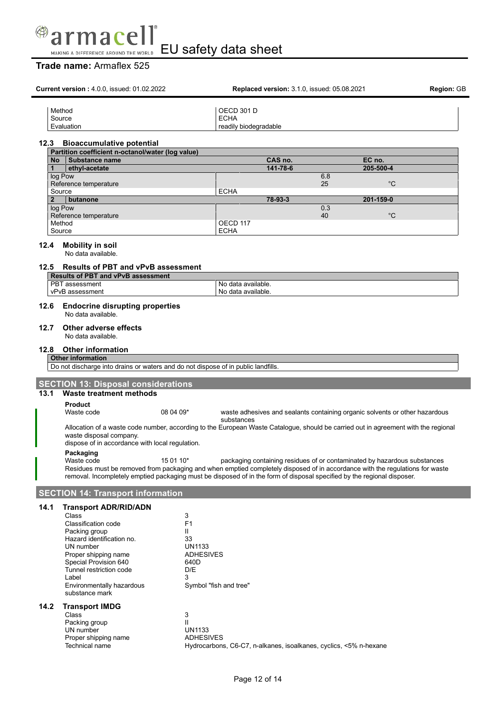

|              | <b>Current version: 4.0.0, issued: 01.02.2022</b>                                                                                                                                                                                                       |                                                                                         |                                                           | Replaced version: 3.1.0, issued: 05.08.2021                       |           |                                                                             | Region: GB |
|--------------|---------------------------------------------------------------------------------------------------------------------------------------------------------------------------------------------------------------------------------------------------------|-----------------------------------------------------------------------------------------|-----------------------------------------------------------|-------------------------------------------------------------------|-----------|-----------------------------------------------------------------------------|------------|
|              | Method<br>Source<br>Evaluation                                                                                                                                                                                                                          |                                                                                         | <b>OECD 301 D</b><br><b>ECHA</b><br>readily biodegradable |                                                                   |           |                                                                             |            |
| 12.3         | <b>Bioaccumulative potential</b>                                                                                                                                                                                                                        |                                                                                         |                                                           |                                                                   |           |                                                                             |            |
| No l         | Partition coefficient n-octanol/water (log value)<br>Substance name                                                                                                                                                                                     |                                                                                         |                                                           | CAS no.                                                           |           | EC no.                                                                      |            |
| 1            | ethyl-acetate                                                                                                                                                                                                                                           |                                                                                         |                                                           | 141-78-6                                                          |           | 205-500-4                                                                   |            |
|              | log Pow<br>Reference temperature                                                                                                                                                                                                                        |                                                                                         |                                                           |                                                                   | 6.8<br>25 | $^{\circ}C$                                                                 |            |
|              | Source                                                                                                                                                                                                                                                  |                                                                                         | <b>ECHA</b>                                               |                                                                   |           |                                                                             |            |
| $\mathbf{2}$ | butanone<br>log Pow                                                                                                                                                                                                                                     |                                                                                         |                                                           | 78-93-3                                                           | 0.3       | 201-159-0                                                                   |            |
|              | Reference temperature                                                                                                                                                                                                                                   |                                                                                         |                                                           |                                                                   | 40        | $^{\circ}C$                                                                 |            |
|              | Method<br>Source                                                                                                                                                                                                                                        |                                                                                         | OECD 117<br><b>ECHA</b>                                   |                                                                   |           |                                                                             |            |
| 12.4         | <b>Mobility in soil</b><br>No data available.                                                                                                                                                                                                           |                                                                                         |                                                           |                                                                   |           |                                                                             |            |
|              | 12.5 Results of PBT and vPvB assessment<br><b>Results of PBT and vPvB assessment</b>                                                                                                                                                                    |                                                                                         |                                                           |                                                                   |           |                                                                             |            |
|              | PBT assessment<br>vPvB assessment                                                                                                                                                                                                                       |                                                                                         | No data available.<br>No data available.                  |                                                                   |           |                                                                             |            |
| 12.6         | <b>Endocrine disrupting properties</b><br>No data available                                                                                                                                                                                             |                                                                                         |                                                           |                                                                   |           |                                                                             |            |
| 12.7         | Other adverse effects<br>No data available.                                                                                                                                                                                                             |                                                                                         |                                                           |                                                                   |           |                                                                             |            |
| 12.8         | <b>Other information</b>                                                                                                                                                                                                                                |                                                                                         |                                                           |                                                                   |           |                                                                             |            |
|              | <b>Other information</b><br>Do not discharge into drains or waters and do not dispose of in public landfills.                                                                                                                                           |                                                                                         |                                                           |                                                                   |           |                                                                             |            |
|              |                                                                                                                                                                                                                                                         |                                                                                         |                                                           |                                                                   |           |                                                                             |            |
| 13.1         | <b>SECTION 13: Disposal considerations</b><br>Waste treatment methods                                                                                                                                                                                   |                                                                                         |                                                           |                                                                   |           |                                                                             |            |
|              | <b>Product</b><br>Waste code                                                                                                                                                                                                                            | 08 04 09*                                                                               |                                                           |                                                                   |           | waste adhesives and sealants containing organic solvents or other hazardous |            |
|              | Allocation of a waste code number, according to the European Waste Catalogue, should be carried out in agreement with the regional                                                                                                                      |                                                                                         | substances                                                |                                                                   |           |                                                                             |            |
|              | waste disposal company.<br>dispose of in accordance with local regulation.                                                                                                                                                                              |                                                                                         |                                                           |                                                                   |           |                                                                             |            |
|              | Packaging<br>Waste code                                                                                                                                                                                                                                 | 15 01 10*                                                                               |                                                           |                                                                   |           | packaging containing residues of or contaminated by hazardous substances    |            |
|              | Residues must be removed from packaging and when emptied completely disposed of in accordance with the regulations for waste<br>removal. Incompletely emptied packaging must be disposed of in the form of disposal specified by the regional disposer. |                                                                                         |                                                           |                                                                   |           |                                                                             |            |
|              | <b>SECTION 14: Transport information</b>                                                                                                                                                                                                                |                                                                                         |                                                           |                                                                   |           |                                                                             |            |
| 14.1         | <b>Transport ADR/RID/ADN</b>                                                                                                                                                                                                                            |                                                                                         |                                                           |                                                                   |           |                                                                             |            |
|              | Class<br>Classification code<br>Packing group<br>Hazard identification no.<br>UN number<br>Proper shipping name<br>Special Provision 640<br>Tunnel restriction code<br>Label<br>Environmentally hazardous<br>substance mark                             | 3<br>F <sub>1</sub><br>Ш<br>33<br><b>UN1133</b><br><b>ADHESIVES</b><br>640D<br>D/E<br>3 | Symbol "fish and tree"                                    |                                                                   |           |                                                                             |            |
| 14.2         | <b>Transport IMDG</b><br>Class<br>Packing group<br>UN number<br>Proper shipping name<br>Technical name                                                                                                                                                  | 3<br>Ш<br><b>UN1133</b><br><b>ADHESIVES</b>                                             |                                                           | Hydrocarbons, C6-C7, n-alkanes, isoalkanes, cyclics, <5% n-hexane |           |                                                                             |            |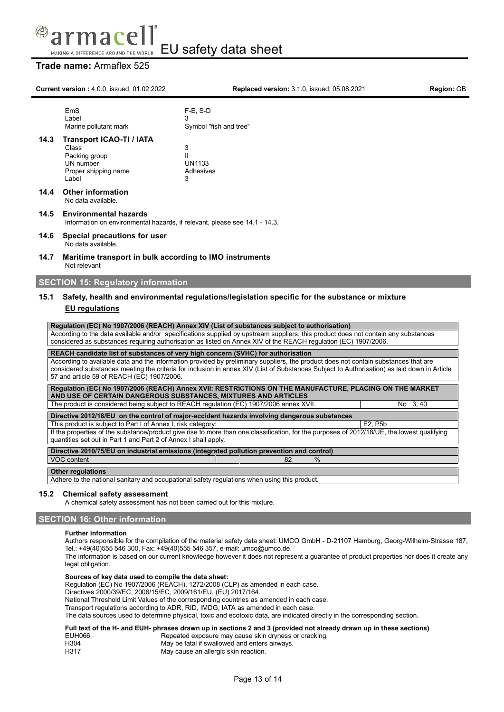

### **Trade name:** Armaflex 525

|                                                                                                                                                                                                                                 | <b>Current version: 4.0.0, issued: 01.02.2022</b>                                                                                                                                                                                                                                                                                                                                                                    | Replaced version: 3.1.0, issued: 05.08.2021                                                                                                                               | <b>Region: GB</b> |  |  |
|---------------------------------------------------------------------------------------------------------------------------------------------------------------------------------------------------------------------------------|----------------------------------------------------------------------------------------------------------------------------------------------------------------------------------------------------------------------------------------------------------------------------------------------------------------------------------------------------------------------------------------------------------------------|---------------------------------------------------------------------------------------------------------------------------------------------------------------------------|-------------------|--|--|
|                                                                                                                                                                                                                                 | EmS<br>Label<br>Marine pollutant mark                                                                                                                                                                                                                                                                                                                                                                                | $F-E$ , S-D<br>3<br>Symbol "fish and tree"                                                                                                                                |                   |  |  |
| 14.3                                                                                                                                                                                                                            | <b>Transport ICAO-TI / IATA</b><br>Class<br>Packing group<br>UN number<br>Proper shipping name<br>Label                                                                                                                                                                                                                                                                                                              | 3<br>$\mathbf{H}$<br><b>UN1133</b><br>Adhesives<br>3                                                                                                                      |                   |  |  |
| 14.4                                                                                                                                                                                                                            | <b>Other information</b><br>No data available.                                                                                                                                                                                                                                                                                                                                                                       |                                                                                                                                                                           |                   |  |  |
| 14.5                                                                                                                                                                                                                            | <b>Environmental hazards</b><br>Information on environmental hazards, if relevant, please see 14.1 - 14.3.                                                                                                                                                                                                                                                                                                           |                                                                                                                                                                           |                   |  |  |
| 14.6                                                                                                                                                                                                                            | Special precautions for user<br>No data available.                                                                                                                                                                                                                                                                                                                                                                   |                                                                                                                                                                           |                   |  |  |
| 14.7                                                                                                                                                                                                                            | Maritime transport in bulk according to IMO instruments<br>Not relevant                                                                                                                                                                                                                                                                                                                                              |                                                                                                                                                                           |                   |  |  |
|                                                                                                                                                                                                                                 | <b>SECTION 15: Regulatory information</b>                                                                                                                                                                                                                                                                                                                                                                            |                                                                                                                                                                           |                   |  |  |
| Safety, health and environmental regulations/legislation specific for the substance or mixture<br>15.1<br><b>EU</b> regulations<br>Regulation (EC) No 1907/2006 (REACH) Annex XIV (List of substances subject to authorisation) |                                                                                                                                                                                                                                                                                                                                                                                                                      |                                                                                                                                                                           |                   |  |  |
|                                                                                                                                                                                                                                 | According to the data available and/or specifications supplied by upstream suppliers, this product does not contain any substances<br>considered as substances requiring authorisation as listed on Annex XIV of the REACH regulation (EC) 1907/2006.                                                                                                                                                                |                                                                                                                                                                           |                   |  |  |
|                                                                                                                                                                                                                                 | REACH candidate list of substances of very high concern (SVHC) for authorisation<br>According to available data and the information provided by preliminary suppliers, the product does not contain substances that are<br>considered substances meeting the criteria for inclusion in annex XIV (List of Substances Subject to Authorisation) as laid down in Article<br>57 and article 59 of REACH (EC) 1907/2006. |                                                                                                                                                                           |                   |  |  |
|                                                                                                                                                                                                                                 |                                                                                                                                                                                                                                                                                                                                                                                                                      | Regulation (EC) No 1907/2006 (REACH) Annex XVII: RESTRICTIONS ON THE MANUFACTURE, PLACING ON THE MARKET<br>AND USE OF CERTAIN DANGEROUS SUBSTANCES, MIXTURES AND ARTICLES |                   |  |  |
|                                                                                                                                                                                                                                 |                                                                                                                                                                                                                                                                                                                                                                                                                      | The product is considered being subject to REACH regulation (EC) 1907/2006 annex XVII.                                                                                    | No 3,40           |  |  |
|                                                                                                                                                                                                                                 | This product is subject to Part I of Annex I, risk category:                                                                                                                                                                                                                                                                                                                                                         | Directive 2012/18/EU on the control of major-accident hazards involving dangerous substances                                                                              | E2. P5b           |  |  |
|                                                                                                                                                                                                                                 |                                                                                                                                                                                                                                                                                                                                                                                                                      |                                                                                                                                                                           |                   |  |  |

If the properties of the substance/product give rise to more than one classification, for the purposes of 2012/18/UE, the lowest qualifying quantities set out in Part 1 and Part 2 of Annex I shall apply.

**Directive 2010/75/EU on industrial emissions (integrated pollution prevention and control)** VOC content  $\sim$  82 %

#### **Other regulations**

Adhere to the national sanitary and occupational safety regulations when using this product.

#### **15.2 Chemical safety assessment**

A chemical safety assessment has not been carried out for this mixture.

### **SECTION 16: Other information**

#### **Further information**

Authors responsible for the compilation of the material safety data sheet: UMCO GmbH - D-21107 Hamburg, Georg-Wilhelm-Strasse 187, Tel.: +49(40)555 546 300, Fax: +49(40)555 546 357, e-mail: umco@umco.de.

The information is based on our current knowledge however it does not represent a guarantee of product properties nor does it create any legal obligation.

#### **Sources of key data used to compile the data sheet:**

Regulation (EC) No 1907/2006 (REACH), 1272/2008 (CLP) as amended in each case.

Directives 2000/39/EC, 2006/15/EC, 2009/161/EU, (EU) 2017/164.

National Threshold Limit Values of the corresponding countries as amended in each case.

Transport regulations according to ADR, RID, IMDG, IATA as amended in each case.

The data sources used to determine physical, toxic and ecotoxic data, are indicated directly in the corresponding section.

# Full text of the H- and EUH- phrases drawn up in sections 2 and 3 (provided not already drawn up in these sections)<br>EUH066 Repeated exposure may cause skin dryness or cracking.

| EUH066 |  | Repeated exposure may cause skin dryness or cracking. |
|--------|--|-------------------------------------------------------|
|--------|--|-------------------------------------------------------|

H304 May be fatal if swallowed and enters airways.<br>H317 May cause an allergic skin reaction. May cause an allergic skin reaction.